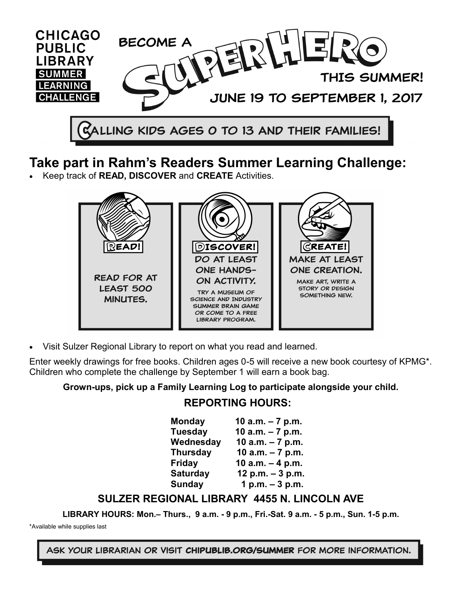

# **Take part in Rahm's Readers Summer Learning Challenge:**

Keep track of **READ, DISCOVER** and **CREATE** Activities.



Visit Sulzer Regional Library to report on what you read and learned.

Enter weekly drawings for free books. Children ages 0-5 will receive a new book courtesy of KPMG\*. Children who complete the challenge by September 1 will earn a book bag.

## **Grown-ups, pick up a Family Learning Log to participate alongside your child.**

## **REPORTING HOURS:**

| <b>Monday</b>   | 10 $a.m. - 7 p.m.$ |
|-----------------|--------------------|
| <b>Tuesday</b>  | 10 $a.m. - 7 p.m.$ |
| Wednesday       | 10 $a.m. - 7 p.m.$ |
| <b>Thursday</b> | 10 a.m. $-7$ p.m.  |
| <b>Friday</b>   | 10 $a.m. - 4 p.m.$ |
| <b>Saturday</b> | 12 p.m. $-3$ p.m.  |
| <b>Sunday</b>   | 1 p.m. $-3$ p.m.   |

## **SULZER REGIONAL LIBRARY 4455 N. LINCOLN AVE**

**LIBRARY HOURS: Mon.– Thurs., 9 a.m. - 9 p.m., Fri.-Sat. 9 a.m. - 5 p.m., Sun. 1-5 p.m.**

\*Available while supplies last

ASK YOUR LIBRARIAN OR VISIT CHIPUBLIB.ORG/SUMMER FOR MORE INFORMATION.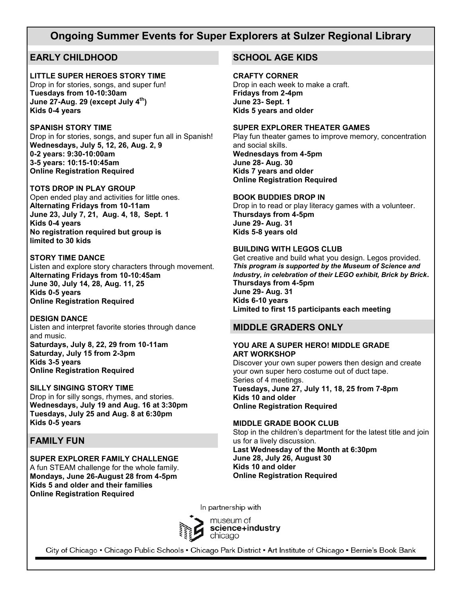## **Ongoing Summer Events for Super Explorers at Sulzer Regional Library**

## **EARLY CHILDHOOD**

### **LITTLE SUPER HEROES STORY TIME**

Drop in for stories, songs, and super fun! **Tuesdays from 10-10:30am June 27-Aug. 29 (except July 4th) Kids 0-4 years**

#### **SPANISH STORY TIME**

Drop in for stories, songs, and super fun all in Spanish! **Wednesdays, July 5, 12, 26, Aug. 2, 9 0-2 years: 9:30-10:00am 3-5 years: 10:15-10:45am Online Registration Required**

## **TOTS DROP IN PLAY GROUP**

Open ended play and activities for little ones. **Alternating Fridays from 10-11am June 23, July 7, 21, Aug. 4, 18, Sept. 1 Kids 0-4 years No registration required but group is limited to 30 kids**

### **STORY TIME DANCE**

Listen and explore story characters through movement. **Alternating Fridays from 10-10:45am June 30, July 14, 28, Aug. 11, 25 Kids 0-5 years Online Registration Required**

#### **DESIGN DANCE**

Listen and interpret favorite stories through dance and music. **Saturdays, July 8, 22, 29 from 10-11am**

**Saturday, July 15 from 2-3pm Kids 3-5 years Online Registration Required**

#### **SILLY SINGING STORY TIME**

Drop in for silly songs, rhymes, and stories. **Wednesdays, July 19 and Aug. 16 at 3:30pm Tuesdays, July 25 and Aug. 8 at 6:30pm Kids 0-5 years**

## **FAMILY FUN**

**SUPER EXPLORER FAMILY CHALLENGE** A fun STEAM challenge for the whole family. **Mondays, June 26-August 28 from 4-5pm Kids 5 and older and their families Online Registration Required**

## **SCHOOL AGE KIDS**

#### **CRAFTY CORNER**

Drop in each week to make a craft. **Fridays from 2-4pm June 23- Sept. 1 Kids 5 years and older**

#### **SUPER EXPLORER THEATER GAMES**

Play fun theater games to improve memory, concentration and social skills. **Wednesdays from 4-5pm June 28- Aug. 30 Kids 7 years and older Online Registration Required**

#### **BOOK BUDDIES DROP IN**

Drop in to read or play literacy games with a volunteer. **Thursdays from 4-5pm June 29- Aug. 31 Kids 5-8 years old**

## **BUILDING WITH LEGOS CLUB**

Get creative and build what you design. Legos provided. *This program is supported by the Museum of Science and Industry, in celebration of their LEGO exhibit, Brick by Brick***. Thursdays from 4-5pm June 29- Aug. 31 Kids 6-10 years Limited to first 15 participants each meeting**

## **MIDDLE GRADERS ONLY**

#### **YOU ARE A SUPER HERO! MIDDLE GRADE ART WORKSHOP**

Discover your own super powers then design and create your own super hero costume out of duct tape. Series of 4 meetings. **Tuesdays, June 27, July 11, 18, 25 from 7-8pm Kids 10 and older Online Registration Required**

## **MIDDLE GRADE BOOK CLUB**

Stop in the children's department for the latest title and join us for a lively discussion. **Last Wednesday of the Month at 6:30pm June 28, July 26, August 30 Kids 10 and older Online Registration Required**

In partnership with



City of Chicago • Chicago Public Schools • Chicago Park District • Art Institute of Chicago • Bernie's Book Bank